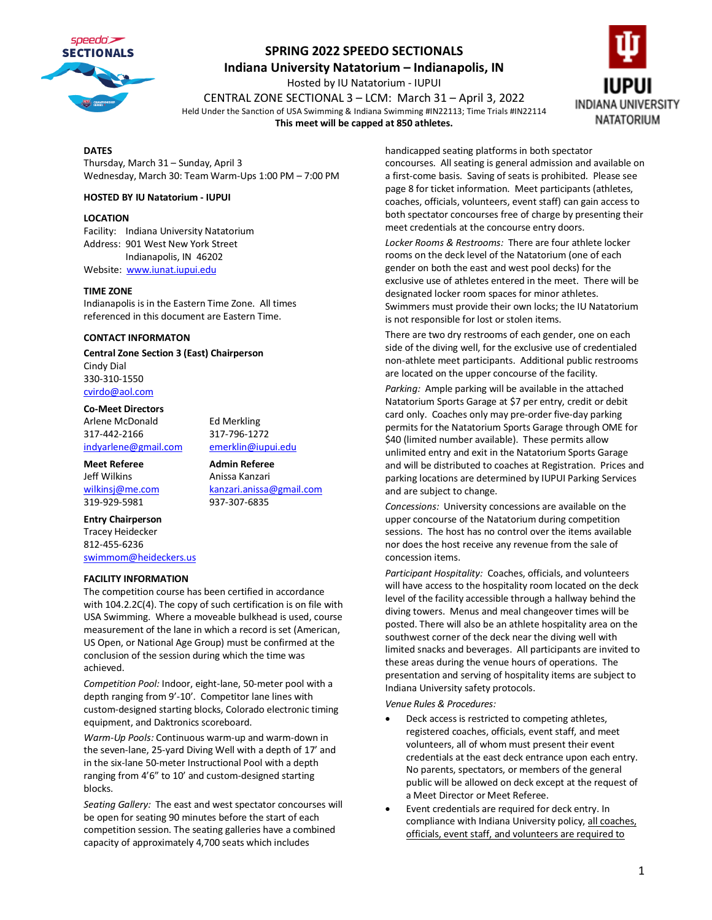

**Indiana University Natatorium – Indianapolis, IN**

Hosted by IU Natatorium - IUPUI CENTRAL ZONE SECTIONAL 3 – LCM: March 31 – April 3, 2022 Held Under the Sanction of USA Swimming & Indiana Swimming #IN22113; Time Trials #IN22114 **This meet will be capped at 850 athletes.**



#### **DATES**

Thursday, March 31 – Sunday, April 3 Wednesday, March 30: Team Warm-Ups 1:00 PM – 7:00 PM

#### **HOSTED BY IU Natatorium - IUPUI**

#### **LOCATION**

Facility: Indiana University Natatorium Address: 901 West New York Street Indianapolis, IN 46202 Website: [www.iunat.iupui.edu](http://www.iunat.iupui.edu/)

#### **TIME ZONE**

Indianapolis is in the Eastern Time Zone. All times referenced in this document are Eastern Time.

#### **CONTACT INFORMATON**

**Central Zone Section 3 (East) Chairperson** Cindy Dial

330-310-1550 [cvirdo@aol.com](mailto:cvirdo@aol.com)

#### **Co-Meet Directors**

Arlene McDonald Ed Merkling 317-442-2166 317-796-1272 [indyarlene@gmail.com](mailto:indyarlene@gmail.com) [emerklin@iupui.edu](mailto:emerklin@iupui.edu)

**Meet Referee Admin Referee** Jeff Wilkins Anissa Kanzari 319-929-5981 937-307-6835

[wilkinsj@me.com](mailto:wilkinsj@me.com) [kanzari.anissa@gmail.com](mailto:kanzari.anissa@gmail.com)

#### **Entry Chairperson**

Tracey Heidecker 812-455-6236 [swimmom@heideckers.us](mailto:swimmom@heideckers.us)

#### **FACILITY INFORMATION**

The competition course has been certified in accordance with 104.2.2C(4). The copy of such certification is on file with USA Swimming. Where a moveable bulkhead is used, course measurement of the lane in which a record is set (American, US Open, or National Age Group) must be confirmed at the conclusion of the session during which the time was achieved.

*Competition Pool:* Indoor, eight-lane, 50-meter pool with a depth ranging from 9'-10'. Competitor lane lines with custom-designed starting blocks, Colorado electronic timing equipment, and Daktronics scoreboard.

*Warm-Up Pools:* Continuous warm-up and warm-down in the seven-lane, 25-yard Diving Well with a depth of 17' and in the six-lane 50-meter Instructional Pool with a depth ranging from 4'6" to 10' and custom-designed starting blocks.

*Seating Gallery:* The east and west spectator concourses will be open for seating 90 minutes before the start of each competition session. The seating galleries have a combined capacity of approximately 4,700 seats which includes

handicapped seating platforms in both spectator concourses. All seating is general admission and available on a first-come basis. Saving of seats is prohibited. Please see page 8 for ticket information. Meet participants (athletes, coaches, officials, volunteers, event staff) can gain access to both spectator concourses free of charge by presenting their meet credentials at the concourse entry doors.

*Locker Rooms & Restrooms:* There are four athlete locker rooms on the deck level of the Natatorium (one of each gender on both the east and west pool decks) for the exclusive use of athletes entered in the meet. There will be designated locker room spaces for minor athletes. Swimmers must provide their own locks; the IU Natatorium is not responsible for lost or stolen items.

There are two dry restrooms of each gender, one on each side of the diving well, for the exclusive use of credentialed non-athlete meet participants. Additional public restrooms are located on the upper concourse of the facility.

*Parking:* Ample parking will be available in the attached Natatorium Sports Garage at \$7 per entry, credit or debit card only. Coaches only may pre-order five-day parking permits for the Natatorium Sports Garage through OME for \$40 (limited number available). These permits allow unlimited entry and exit in the Natatorium Sports Garage and will be distributed to coaches at Registration. Prices and parking locations are determined by IUPUI Parking Services and are subject to change.

*Concessions:* University concessions are available on the upper concourse of the Natatorium during competition sessions. The host has no control over the items available nor does the host receive any revenue from the sale of concession items.

*Participant Hospitality:* Coaches, officials, and volunteers will have access to the hospitality room located on the deck level of the facility accessible through a hallway behind the diving towers. Menus and meal changeover times will be posted. There will also be an athlete hospitality area on the southwest corner of the deck near the diving well with limited snacks and beverages. All participants are invited to these areas during the venue hours of operations. The presentation and serving of hospitality items are subject to Indiana University safety protocols.

*Venue Rules & Procedures:*

- Deck access is restricted to competing athletes, registered coaches, officials, event staff, and meet volunteers, all of whom must present their event credentials at the east deck entrance upon each entry. No parents, spectators, or members of the general public will be allowed on deck except at the request of a Meet Director or Meet Referee.
- Event credentials are required for deck entry. In compliance with Indiana University policy, all coaches, officials, event staff, and volunteers are required to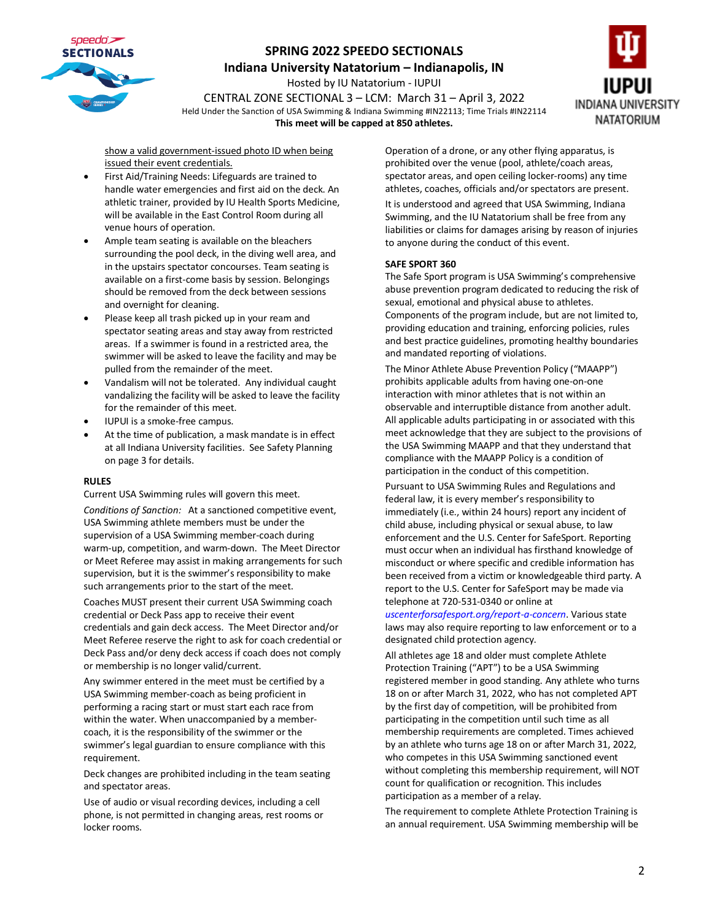

**Indiana University Natatorium – Indianapolis, IN**

Hosted by IU Natatorium - IUPUI

CENTRAL ZONE SECTIONAL 3 – LCM: March 31 – April 3, 2022 Held Under the Sanction of USA Swimming & Indiana Swimming #IN22113; Time Trials #IN22114 **This meet will be capped at 850 athletes.**



show a valid government-issued photo ID when being issued their event credentials.

- First Aid/Training Needs: Lifeguards are trained to handle water emergencies and first aid on the deck. An athletic trainer, provided by IU Health Sports Medicine, will be available in the East Control Room during all venue hours of operation.
- Ample team seating is available on the bleachers surrounding the pool deck, in the diving well area, and in the upstairs spectator concourses. Team seating is available on a first-come basis by session. Belongings should be removed from the deck between sessions and overnight for cleaning.
- Please keep all trash picked up in your ream and spectator seating areas and stay away from restricted areas. If a swimmer is found in a restricted area, the swimmer will be asked to leave the facility and may be pulled from the remainder of the meet.
- Vandalism will not be tolerated. Any individual caught vandalizing the facility will be asked to leave the facility for the remainder of this meet.
- IUPUI is a smoke-free campus.
- At the time of publication, a mask mandate is in effect at all Indiana University facilities. See Safety Planning on page 3 for details.

#### **RULES**

Current USA Swimming rules will govern this meet.

*Conditions of Sanction:* At a sanctioned competitive event, USA Swimming athlete members must be under the supervision of a USA Swimming member-coach during warm-up, competition, and warm-down. The Meet Director or Meet Referee may assist in making arrangements for such supervision, but it is the swimmer's responsibility to make such arrangements prior to the start of the meet.

Coaches MUST present their current USA Swimming coach credential or Deck Pass app to receive their event credentials and gain deck access. The Meet Director and/or Meet Referee reserve the right to ask for coach credential or Deck Pass and/or deny deck access if coach does not comply or membership is no longer valid/current.

Any swimmer entered in the meet must be certified by a USA Swimming member-coach as being proficient in performing a racing start or must start each race from within the water. When unaccompanied by a membercoach, it is the responsibility of the swimmer or the swimmer's legal guardian to ensure compliance with this requirement.

Deck changes are prohibited including in the team seating and spectator areas.

Use of audio or visual recording devices, including a cell phone, is not permitted in changing areas, rest rooms or locker rooms.

Operation of a drone, or any other flying apparatus, is prohibited over the venue (pool, athlete/coach areas, spectator areas, and open ceiling locker-rooms) any time athletes, coaches, officials and/or spectators are present. It is understood and agreed that USA Swimming, Indiana Swimming, and the IU Natatorium shall be free from any liabilities or claims for damages arising by reason of injuries to anyone during the conduct of this event.

#### **SAFE SPORT 360**

The Safe Sport program is USA Swimming's comprehensive abuse prevention program dedicated to reducing the risk of sexual, emotional and physical abuse to athletes. Components of the program include, but are not limited to, providing education and training, enforcing policies, rules and best practice guidelines, promoting healthy boundaries and mandated reporting of violations.

The Minor Athlete Abuse Prevention Policy ("MAAPP") prohibits applicable adults from having one-on-one interaction with minor athletes that is not within an observable and interruptible distance from another adult. All applicable adults participating in or associated with this meet acknowledge that they are subject to the provisions of the USA Swimming MAAPP and that they understand that compliance with the MAAPP Policy is a condition of participation in the conduct of this competition.

Pursuant to USA Swimming Rules and Regulations and federal law, it is every member's responsibility to immediately (i.e., within 24 hours) report any incident of child abuse, including physical or sexual abuse, to law enforcement and the U.S. Center for SafeSport. Reporting must occur when an individual has firsthand knowledge of misconduct or where specific and credible information has been received from a victim or knowledgeable third party. A report to the U.S. Center for SafeSport may be made via telephone at 720-531-0340 or online at

*uscenterforsafesport.org/report-a-concern*. Various state laws may also require reporting to law enforcement or to a designated child protection agency.

All athletes age 18 and older must complete Athlete Protection Training ("APT") to be a USA Swimming registered member in good standing. Any athlete who turns 18 on or after March 31, 2022, who has not completed APT by the first day of competition, will be prohibited from participating in the competition until such time as all membership requirements are completed. Times achieved by an athlete who turns age 18 on or after March 31, 2022, who competes in this USA Swimming sanctioned event without completing this membership requirement, will NOT count for qualification or recognition. This includes participation as a member of a relay.

The requirement to complete Athlete Protection Training is an annual requirement. USA Swimming membership will be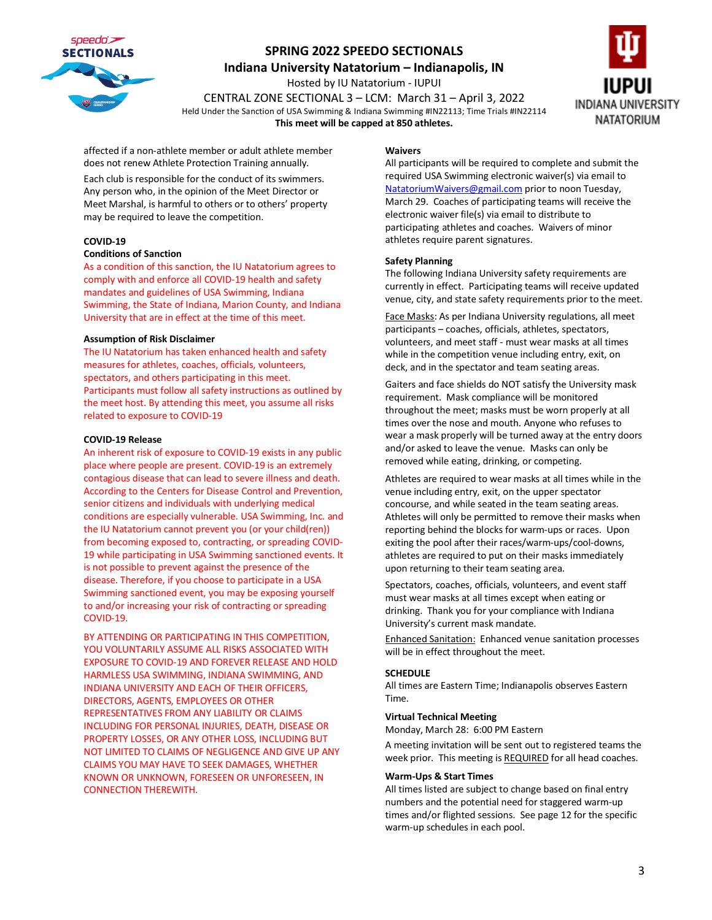

**Indiana University Natatorium – Indianapolis, IN**

Hosted by IU Natatorium - IUPUI CENTRAL ZONE SECTIONAL 3 – LCM: March 31 – April 3, 2022 Held Under the Sanction of USA Swimming & Indiana Swimming #IN22113; Time Trials #IN22114 **This meet will be capped at 850 athletes.**



affected if a non-athlete member or adult athlete member does not renew Athlete Protection Training annually.

Each club is responsible for the conduct of its swimmers. Any person who, in the opinion of the Meet Director or Meet Marshal, is harmful to others or to others' property may be required to leave the competition.

#### **COVID-19**

#### **Conditions of Sanction**

As a condition of this sanction, the IU Natatorium agrees to comply with and enforce all COVID-19 health and safety mandates and guidelines of USA Swimming, Indiana Swimming, the State of Indiana, Marion County, and Indiana University that are in effect at the time of this meet.

#### **Assumption of Risk Disclaimer**

The IU Natatorium has taken enhanced health and safety measures for athletes, coaches, officials, volunteers, spectators, and others participating in this meet. Participants must follow all safety instructions as outlined by the meet host. By attending this meet, you assume all risks related to exposure to COVID-19

#### **COVID-19 Release**

An inherent risk of exposure to COVID-19 exists in any public place where people are present. COVID-19 is an extremely contagious disease that can lead to severe illness and death. According to the Centers for Disease Control and Prevention, senior citizens and individuals with underlying medical conditions are especially vulnerable. USA Swimming, Inc. and the IU Natatorium cannot prevent you (or your child(ren)) from becoming exposed to, contracting, or spreading COVID-19 while participating in USA Swimming sanctioned events. It is not possible to prevent against the presence of the disease. Therefore, if you choose to participate in a USA Swimming sanctioned event, you may be exposing yourself to and/or increasing your risk of contracting or spreading COVID-19.

BY ATTENDING OR PARTICIPATING IN THIS COMPETITION, YOU VOLUNTARILY ASSUME ALL RISKS ASSOCIATED WITH EXPOSURE TO COVID-19 AND FOREVER RELEASE AND HOLD HARMLESS USA SWIMMING, INDIANA SWIMMING, AND INDIANA UNIVERSITY AND EACH OF THEIR OFFICERS, DIRECTORS, AGENTS, EMPLOYEES OR OTHER REPRESENTATIVES FROM ANY LIABILITY OR CLAIMS INCLUDING FOR PERSONAL INJURIES, DEATH, DISEASE OR PROPERTY LOSSES, OR ANY OTHER LOSS, INCLUDING BUT NOT LIMITED TO CLAIMS OF NEGLIGENCE AND GIVE UP ANY CLAIMS YOU MAY HAVE TO SEEK DAMAGES, WHETHER KNOWN OR UNKNOWN, FORESEEN OR UNFORESEEN, IN CONNECTION THEREWITH.

#### **Waivers**

All participants will be required to complete and submit the required USA Swimming electronic waiver(s) via email to [NatatoriumWaivers@gmail.com](mailto:NatatoriumWaivers@gmail.com) prior to noon Tuesday, March 29. Coaches of participating teams will receive the electronic waiver file(s) via email to distribute to participating athletes and coaches. Waivers of minor athletes require parent signatures.

#### **Safety Planning**

The following Indiana University safety requirements are currently in effect. Participating teams will receive updated venue, city, and state safety requirements prior to the meet.

Face Masks: As per Indiana University regulations, all meet participants – coaches, officials, athletes, spectators, volunteers, and meet staff - must wear masks at all times while in the competition venue including entry, exit, on deck, and in the spectator and team seating areas.

Gaiters and face shields do NOT satisfy the University mask requirement. Mask compliance will be monitored throughout the meet; masks must be worn properly at all times over the nose and mouth. Anyone who refuses to wear a mask properly will be turned away at the entry doors and/or asked to leave the venue. Masks can only be removed while eating, drinking, or competing.

Athletes are required to wear masks at all times while in the venue including entry, exit, on the upper spectator concourse, and while seated in the team seating areas. Athletes will only be permitted to remove their masks when reporting behind the blocks for warm-ups or races. Upon exiting the pool after their races/warm-ups/cool-downs, athletes are required to put on their masks immediately upon returning to their team seating area.

Spectators, coaches, officials, volunteers, and event staff must wear masks at all times except when eating or drinking. Thank you for your compliance with Indiana University's current mask mandate.

Enhanced Sanitation: Enhanced venue sanitation processes will be in effect throughout the meet.

#### **SCHEDULE**

All times are Eastern Time; Indianapolis observes Eastern Time.

#### **Virtual Technical Meeting**

Monday, March 28: 6:00 PM Eastern

A meeting invitation will be sent out to registered teams the week prior. This meeting is REQUIRED for all head coaches.

#### **Warm-Ups & Start Times**

All times listed are subject to change based on final entry numbers and the potential need for staggered warm-up times and/or flighted sessions. See page 12 for the specific warm-up schedules in each pool.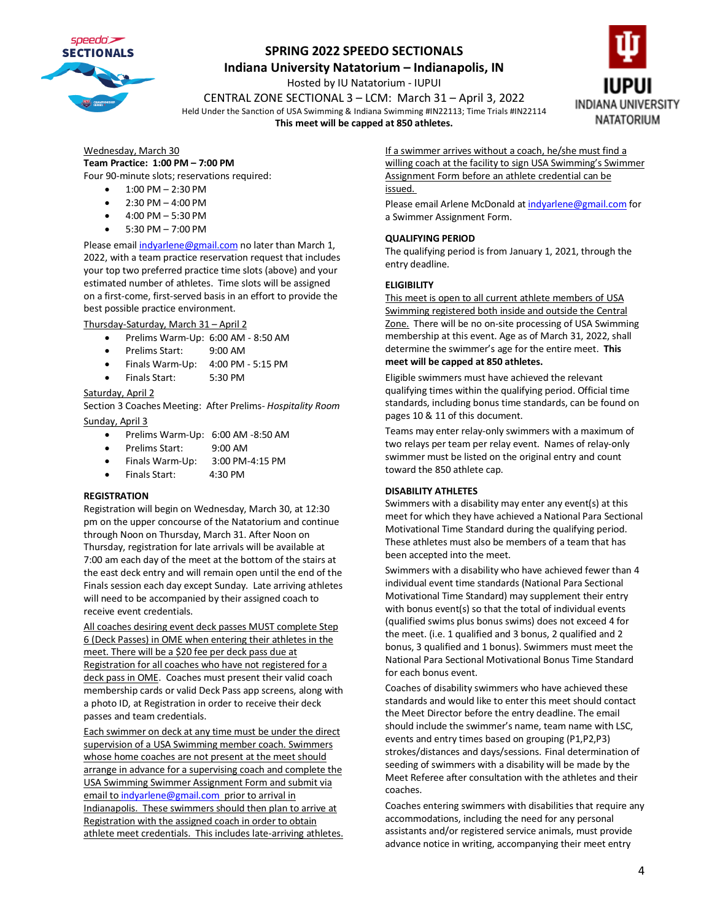

**Indiana University Natatorium – Indianapolis, IN**

Hosted by IU Natatorium - IUPUI

CENTRAL ZONE SECTIONAL 3 – LCM: March 31 – April 3, 2022 Held Under the Sanction of USA Swimming & Indiana Swimming #IN22113; Time Trials #IN22114

**This meet will be capped at 850 athletes.**



Wednesday, March 30 **Team Practice: 1:00 PM – 7:00 PM** Four 90-minute slots; reservations required:

- 1:00 PM 2:30 PM
- $2:30$  PM  $-$  4:00 PM
- 4:00 PM 5:30 PM
- 5:30 PM 7:00 PM

Please emai[l indyarlene@gmail.com](mailto:indyarlene@gmail.com) no later than March 1, 2022, with a team practice reservation request that includes your top two preferred practice time slots (above) and your estimated number of athletes. Time slots will be assigned on a first-come, first-served basis in an effort to provide the best possible practice environment.

Thursday-Saturday, March 31 – April 2

- Prelims Warm-Up: 6:00 AM 8:50 AM
- Prelims Start: 9:00 AM
- Finals Warm-Up: 4:00 PM 5:15 PM
- Finals Start: 5:30 PM

#### Saturday, April 2

Section 3 Coaches Meeting: After Prelims- *Hospitality Room* Sunday, April 3

- Prelims Warm-Up: 6:00 AM -8:50 AM
- Prelims Start: 9:00 AM
- Finals Warm-Up: 3:00 PM-4:15 PM
- Finals Start: 4:30 PM

#### **REGISTRATION**

Registration will begin on Wednesday, March 30, at 12:30 pm on the upper concourse of the Natatorium and continue through Noon on Thursday, March 31. After Noon on Thursday, registration for late arrivals will be available at 7:00 am each day of the meet at the bottom of the stairs at the east deck entry and will remain open until the end of the Finals session each day except Sunday. Late arriving athletes will need to be accompanied by their assigned coach to receive event credentials.

All coaches desiring event deck passes MUST complete Step 6 (Deck Passes) in OME when entering their athletes in the meet. There will be a \$20 fee per deck pass due at Registration for all coaches who have not registered for a deck pass in OME. Coaches must present their valid coach membership cards or valid Deck Pass app screens, along with a photo ID, at Registration in order to receive their deck passes and team credentials.

Each swimmer on deck at any time must be under the direct supervision of a USA Swimming member coach. Swimmers whose home coaches are not present at the meet should arrange in advance for a supervising coach and complete the USA Swimming Swimmer Assignment Form and submit via email t[o indyarlene@gmail.com](mailto:indyarlene@gmail.com) prior to arrival in Indianapolis. These swimmers should then plan to arrive at Registration with the assigned coach in order to obtain athlete meet credentials. This includes late-arriving athletes. If a swimmer arrives without a coach, he/she must find a willing coach at the facility to sign USA Swimming's Swimmer Assignment Form before an athlete credential can be issued.

Please email Arlene McDonald a[t indyarlene@gmail.com](mailto:indyarlene@gmail.com) for a Swimmer Assignment Form.

#### **QUALIFYING PERIOD**

The qualifying period is from January 1, 2021, through the entry deadline.

#### **ELIGIBILITY**

This meet is open to all current athlete members of USA Swimming registered both inside and outside the Central Zone. There will be no on-site processing of USA Swimming membership at this event. Age as of March 31, 2022, shall determine the swimmer's age for the entire meet. **This meet will be capped at 850 athletes.**

Eligible swimmers must have achieved the relevant qualifying times within the qualifying period. Official time standards, including bonus time standards, can be found on pages 10 & 11 of this document.

Teams may enter relay-only swimmers with a maximum of two relays per team per relay event. Names of relay-only swimmer must be listed on the original entry and count toward the 850 athlete cap.

#### **DISABILITY ATHLETES**

Swimmers with a disability may enter any event(s) at this meet for which they have achieved a National Para Sectional Motivational Time Standard during the qualifying period. These athletes must also be members of a team that has been accepted into the meet.

Swimmers with a disability who have achieved fewer than 4 individual event time standards (National Para Sectional Motivational Time Standard) may supplement their entry with bonus event(s) so that the total of individual events (qualified swims plus bonus swims) does not exceed 4 for the meet. (i.e. 1 qualified and 3 bonus, 2 qualified and 2 bonus, 3 qualified and 1 bonus). Swimmers must meet the National Para Sectional Motivational Bonus Time Standard for each bonus event.

Coaches of disability swimmers who have achieved these standards and would like to enter this meet should contact the Meet Director before the entry deadline. The email should include the swimmer's name, team name with LSC, events and entry times based on grouping (P1,P2,P3) strokes/distances and days/sessions. Final determination of seeding of swimmers with a disability will be made by the Meet Referee after consultation with the athletes and their coaches.

Coaches entering swimmers with disabilities that require any accommodations, including the need for any personal assistants and/or registered service animals, must provide advance notice in writing, accompanying their meet entry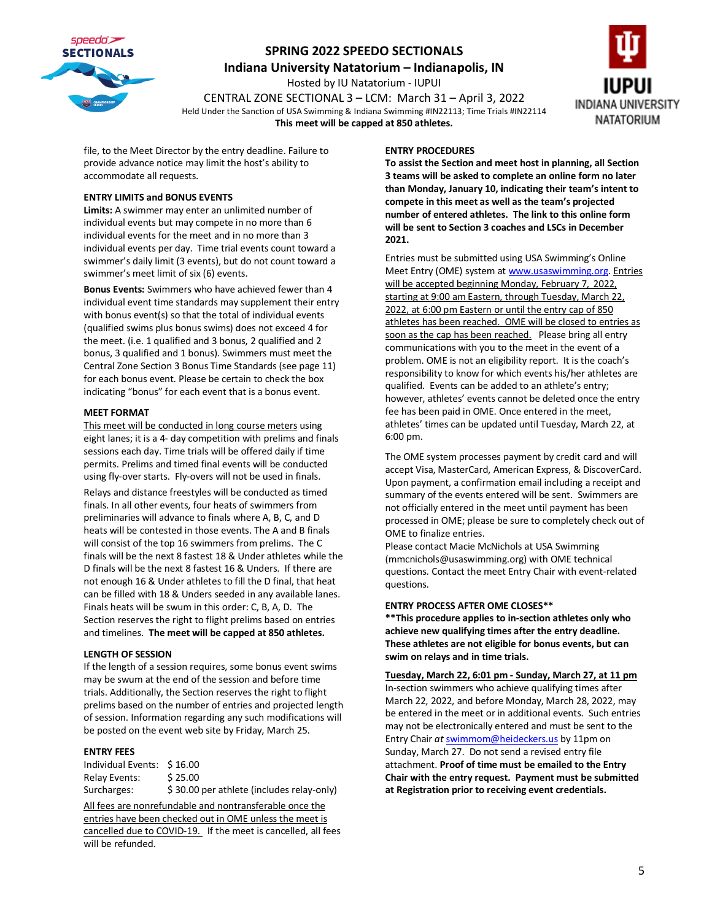

**Indiana University Natatorium – Indianapolis, IN**

Hosted by IU Natatorium - IUPUI CENTRAL ZONE SECTIONAL 3 – LCM: March 31 – April 3, 2022 Held Under the Sanction of USA Swimming & Indiana Swimming #IN22113; Time Trials #IN22114 **This meet will be capped at 850 athletes.**



file, to the Meet Director by the entry deadline. Failure to provide advance notice may limit the host's ability to accommodate all requests.

#### **ENTRY LIMITS and BONUS EVENTS**

**Limits:** A swimmer may enter an unlimited number of individual events but may compete in no more than 6 individual events for the meet and in no more than 3 individual events per day. Time trial events count toward a swimmer's daily limit (3 events), but do not count toward a swimmer's meet limit of six (6) events.

**Bonus Events:** Swimmers who have achieved fewer than 4 individual event time standards may supplement their entry with bonus event(s) so that the total of individual events (qualified swims plus bonus swims) does not exceed 4 for the meet. (i.e. 1 qualified and 3 bonus, 2 qualified and 2 bonus, 3 qualified and 1 bonus). Swimmers must meet the Central Zone Section 3 Bonus Time Standards (see page 11) for each bonus event. Please be certain to check the box indicating "bonus" for each event that is a bonus event.

#### **MEET FORMAT**

This meet will be conducted in long course meters using eight lanes; it is a 4- day competition with prelims and finals sessions each day. Time trials will be offered daily if time permits. Prelims and timed final events will be conducted using fly-over starts. Fly-overs will not be used in finals. Relays and distance freestyles will be conducted as timed finals. In all other events, four heats of swimmers from preliminaries will advance to finals where A, B, C, and D heats will be contested in those events. The A and B finals will consist of the top 16 swimmers from prelims. The C finals will be the next 8 fastest 18 & Under athletes while the D finals will be the next 8 fastest 16 & Unders. If there are not enough 16 & Under athletes to fill the D final, that heat can be filled with 18 & Unders seeded in any available lanes. Finals heats will be swum in this order: C, B, A, D. The Section reserves the right to flight prelims based on entries and timelines. **The meet will be capped at 850 athletes.**

#### **LENGTH OF SESSION**

If the length of a session requires, some bonus event swims may be swum at the end of the session and before time trials. Additionally, the Section reserves the right to flight prelims based on the number of entries and projected length of session. Information regarding any such modifications will be posted on the event web site by Friday, March 25.

#### **ENTRY FEES**

Individual Events: \$ 16.00 Relay Events: \$25.00 Surcharges:  $\frac{1}{5}$  30.00 per athlete (includes relay-only)

All fees are nonrefundable and nontransferable once the entries have been checked out in OME unless the meet is cancelled due to COVID-19. If the meet is cancelled, all fees will be refunded.

#### **ENTRY PROCEDURES**

**To assist the Section and meet host in planning, all Section 3 teams will be asked to complete an online form no later than Monday, January 10, indicating their team's intent to compete in this meet as well as the team's projected number of entered athletes. The link to this online form will be sent to Section 3 coaches and LSCs in December 2021.**

Entries must be submitted using USA Swimming's Online Meet Entry (OME) system a[t www.usaswimming.org.](http://www.usaswimming.org/) Entries will be accepted beginning Monday, February 7, 2022, starting at 9:00 am Eastern, through Tuesday, March 22, 2022, at 6:00 pm Eastern or until the entry cap of 850 athletes has been reached. OME will be closed to entries as soon as the cap has been reached. Please bring all entry communications with you to the meet in the event of a problem. OME is not an eligibility report. It is the coach's responsibility to know for which events his/her athletes are qualified. Events can be added to an athlete's entry; however, athletes' events cannot be deleted once the entry fee has been paid in OME. Once entered in the meet, athletes' times can be updated until Tuesday, March 22, at 6:00 pm.

The OME system processes payment by credit card and will accept Visa, MasterCard, American Express, & DiscoverCard. Upon payment, a confirmation email including a receipt and summary of the events entered will be sent. Swimmers are not officially entered in the meet until payment has been processed in OME; please be sure to completely check out of OME to finalize entries.

Please contact Macie McNichols at USA Swimming (mmcnichols@usaswimming.org) with OME technical questions. Contact the meet Entry Chair with event-related questions.

#### **ENTRY PROCESS AFTER OME CLOSES\*\***

**\*\*This procedure applies to in-section athletes only who achieve new qualifying times after the entry deadline. These athletes are not eligible for bonus events, but can swim on relays and in time trials.**

**Tuesday, March 22, 6:01 pm - Sunday, March 27, at 11 pm** In-section swimmers who achieve qualifying times after March 22, 2022, and before Monday, March 28, 2022, may be entered in the meet or in additional events. Such entries may not be electronically entered and must be sent to the [Entry](mailto:Entry) Chair *at* [swimmom@heideckers.us](mailto:swimmom@heideckers.us) by 11pm on Sunday, March 27. Do not send a revised entry file attachment. **Proof of time must be emailed to the Entry Chair with the entry request. Payment must be submitted at Registration prior to receiving event credentials.**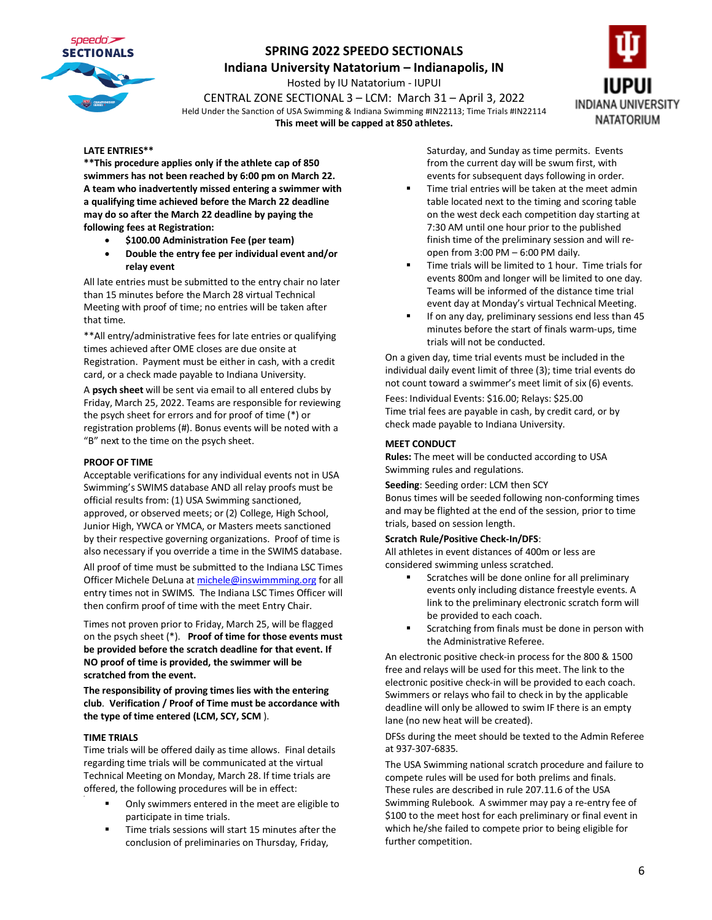

**Indiana University Natatorium – Indianapolis, IN**

Hosted by IU Natatorium - IUPUI

CENTRAL ZONE SECTIONAL 3 – LCM: March 31 – April 3, 2022 Held Under the Sanction of USA Swimming & Indiana Swimming #IN22113; Time Trials #IN22114 **This meet will be capped at 850 athletes.**



#### **LATE ENTRIES\*\***

**\*\*This procedure applies only if the athlete cap of 850 swimmers has not been reached by 6:00 pm on March 22. A team who inadvertently missed entering a swimmer with a qualifying time achieved before the March 22 deadline may do so after the March 22 deadline by paying the following fees at Registration:**

- **\$100.00 Administration Fee (per team)**
- **Double the entry fee per individual event and/or relay event**

All late entries must be submitted to the entry chair no later than 15 minutes before the March 28 virtual Technical Meeting with proof of time; no entries will be taken after that time.

\*\*All entry/administrative fees for late entries or qualifying times achieved after OME closes are due onsite at Registration. Payment must be either in cash, with a credit card, or a check made payable to Indiana University.

A **psych sheet** will be sent via email to all entered clubs by Friday, March 25, 2022. Teams are responsible for reviewing the psych sheet for errors and for proof of time (\*) or registration problems (#). Bonus events will be noted with a "B" next to the time on the psych sheet.

#### **PROOF OF TIME**

Acceptable verifications for any individual events not in USA Swimming's SWIMS database AND all relay proofs must be official results from: (1) USA Swimming sanctioned, approved, or observed meets; or (2) College, High School, Junior High, YWCA or YMCA, or Masters meets sanctioned by their respective governing organizations. Proof of time is also necessary if you override a time in the SWIMS database.

All proof of time must be submitted to the Indiana LSC Times Officer Michele DeLuna a[t michele@inswimmming.org](mailto:michele@inswimmming.org) for all entry times not in SWIMS. The Indiana LSC Times Officer will then confirm proof of time with the meet Entry Chair.

Times not proven prior to Friday, March 25, will be flagged on the psych sheet (\*). **Proof of time for those events must be provided before the scratch deadline for that event. If NO proof of time is provided, the swimmer will be scratched from the event.**

**The responsibility of proving times lies with the entering club**. **Verification / Proof of Time must be accordance with the type of time entered (LCM, SCY, SCM** ).

#### **TIME TRIALS**

Time trials will be offered daily as time allows. Final details regarding time trials will be communicated at the virtual Technical Meeting on Monday, March 28. If time trials are offered, the following procedures will be in effect:

- Only swimmers entered in the meet are eligible to participate in time trials.
- Time trials sessions will start 15 minutes after the conclusion of preliminaries on Thursday, Friday,

Saturday, and Sunday as time permits. Events from the current day will be swum first, with events for subsequent days following in order.

- Time trial entries will be taken at the meet admin table located next to the timing and scoring table on the west deck each competition day starting at 7:30 AM until one hour prior to the published finish time of the preliminary session and will reopen from 3:00 PM – 6:00 PM daily.
- Time trials will be limited to 1 hour. Time trials for events 800m and longer will be limited to one day. Teams will be informed of the distance time trial event day at Monday's virtual Technical Meeting.
- If on any day, preliminary sessions end less than 45 minutes before the start of finals warm-ups, time trials will not be conducted.

On a given day, time trial events must be included in the individual daily event limit of three (3); time trial events do not count toward a swimmer's meet limit of six (6) events.

Fees: Individual Events: \$16.00; Relays: \$25.00 Time trial fees are payable in cash, by credit card, or by check made payable to Indiana University.

#### **MEET CONDUCT**

**Rules:** The meet will be conducted according to USA Swimming rules and regulations.

**Seeding**: Seeding order: LCM then SCY

Bonus times will be seeded following non-conforming times and may be flighted at the end of the session, prior to time trials, based on session length.

#### **Scratch Rule/Positive Check-In/DFS**:

All athletes in event distances of 400m or less are considered swimming unless scratched.

- Scratches will be done online for all preliminary events only including distance freestyle events. A link to the preliminary electronic scratch form will be provided to each coach.
- Scratching from finals must be done in person with the Administrative Referee.

An electronic positive check-in process for the 800 & 1500 free and relays will be used for this meet. The link to the electronic positive check-in will be provided to each coach. Swimmers or relays who fail to check in by the applicable deadline will only be allowed to swim IF there is an empty lane (no new heat will be created).

DFSs during the meet should be texted to the Admin Referee at 937-307-6835.

The USA Swimming national scratch procedure and failure to compete rules will be used for both prelims and finals. These rules are described in rule 207.11.6 of the USA Swimming Rulebook. A swimmer may pay a re-entry fee of \$100 to the meet host for each preliminary or final event in which he/she failed to compete prior to being eligible for further competition.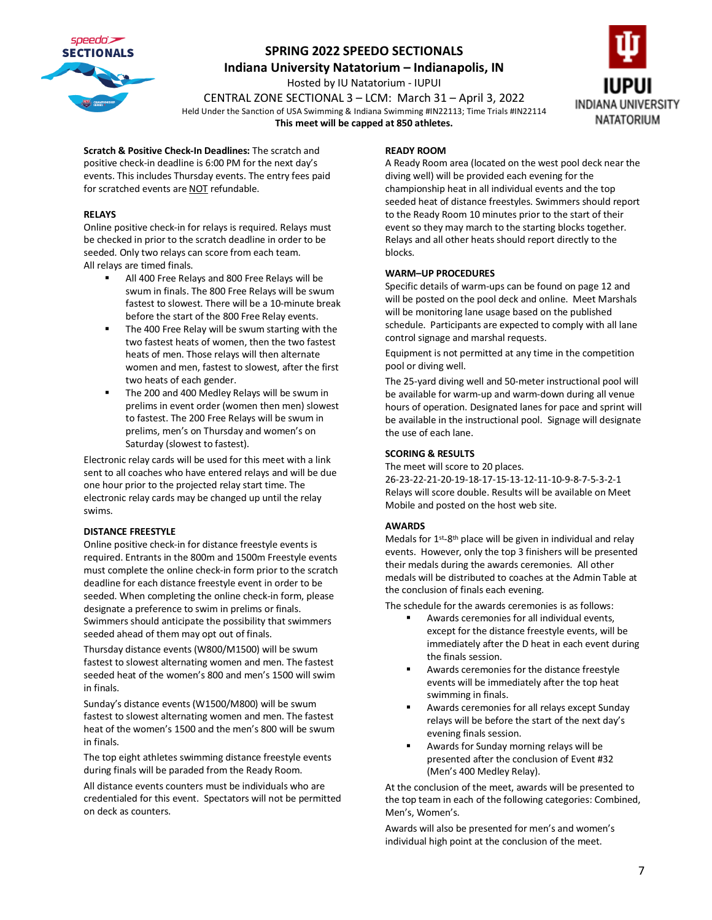

**Indiana University Natatorium – Indianapolis, IN**

Hosted by IU Natatorium - IUPUI

CENTRAL ZONE SECTIONAL 3 – LCM: March 31 – April 3, 2022 Held Under the Sanction of USA Swimming & Indiana Swimming #IN22113; Time Trials #IN22114 **This meet will be capped at 850 athletes.**



**Scratch & Positive Check-In Deadlines:** The scratch and positive check-in deadline is 6:00 PM for the next day's events. This includes Thursday events. The entry fees paid for scratched events are NOT refundable.

#### **RELAYS**

Online positive check-in for relays is required. Relays must be checked in prior to the scratch deadline in order to be seeded. Only two relays can score from each team. All relays are timed finals.

- All 400 Free Relays and 800 Free Relays will be swum in finals. The 800 Free Relays will be swum fastest to slowest. There will be a 10-minute break before the start of the 800 Free Relay events.
- The 400 Free Relay will be swum starting with the two fastest heats of women, then the two fastest heats of men. Those relays will then alternate women and men, fastest to slowest, after the first two heats of each gender.
- The 200 and 400 Medley Relays will be swum in prelims in event order (women then men) slowest to fastest. The 200 Free Relays will be swum in prelims, men's on Thursday and women's on Saturday (slowest to fastest).

Electronic relay cards will be used for this meet with a link sent to all coaches who have entered relays and will be due one hour prior to the projected relay start time. The electronic relay cards may be changed up until the relay swims.

#### **DISTANCE FREESTYLE**

Online positive check-in for distance freestyle events is required. Entrants in the 800m and 1500m Freestyle events must complete the online check-in form prior to the scratch deadline for each distance freestyle event in order to be seeded. When completing the online check-in form, please designate a preference to swim in prelims or finals. Swimmers should anticipate the possibility that swimmers seeded ahead of them may opt out of finals.

Thursday distance events (W800/M1500) will be swum fastest to slowest alternating women and men. The fastest seeded heat of the women's 800 and men's 1500 will swim in finals.

Sunday's distance events (W1500/M800) will be swum fastest to slowest alternating women and men. The fastest heat of the women's 1500 and the men's 800 will be swum in finals.

The top eight athletes swimming distance freestyle events during finals will be paraded from the Ready Room.

All distance events counters must be individuals who are credentialed for this event. Spectators will not be permitted on deck as counters.

#### **READY ROOM**

A Ready Room area (located on the west pool deck near the diving well) will be provided each evening for the championship heat in all individual events and the top seeded heat of distance freestyles. Swimmers should report to the Ready Room 10 minutes prior to the start of their event so they may march to the starting blocks together. Relays and all other heats should report directly to the blocks.

#### **WARM–UP PROCEDURES**

Specific details of warm-ups can be found on page 12 and will be posted on the pool deck and online. Meet Marshals will be monitoring lane usage based on the published schedule. Participants are expected to comply with all lane control signage and marshal requests.

Equipment is not permitted at any time in the competition pool or diving well.

The 25-yard diving well and 50-meter instructional pool will be available for warm-up and warm-down during all venue hours of operation. Designated lanes for pace and sprint will be available in the instructional pool. Signage will designate the use of each lane.

#### **SCORING & RESULTS**

The meet will score to 20 places. 26-23-22-21-20-19-18-17-15-13-12-11-10-9-8-7-5-3-2-1 Relays will score double. Results will be available on Meet Mobile and posted on the host web site.

#### **AWARDS**

Medals for  $1^{st}$ -8<sup>th</sup> place will be given in individual and relay events. However, only the top 3 finishers will be presented their medals during the awards ceremonies. All other medals will be distributed to coaches at the Admin Table at the conclusion of finals each evening.

The schedule for the awards ceremonies is as follows:

- Awards ceremonies for all individual events, except for the distance freestyle events, will be immediately after the D heat in each event during the finals session.
- Awards ceremonies for the distance freestyle events will be immediately after the top heat swimming in finals.
- Awards ceremonies for all relays except Sunday relays will be before the start of the next day's evening finals session.
- Awards for Sunday morning relays will be presented after the conclusion of Event #32 (Men's 400 Medley Relay).

At the conclusion of the meet, awards will be presented to the top team in each of the following categories: Combined, Men's, Women's.

Awards will also be presented for men's and women's individual high point at the conclusion of the meet.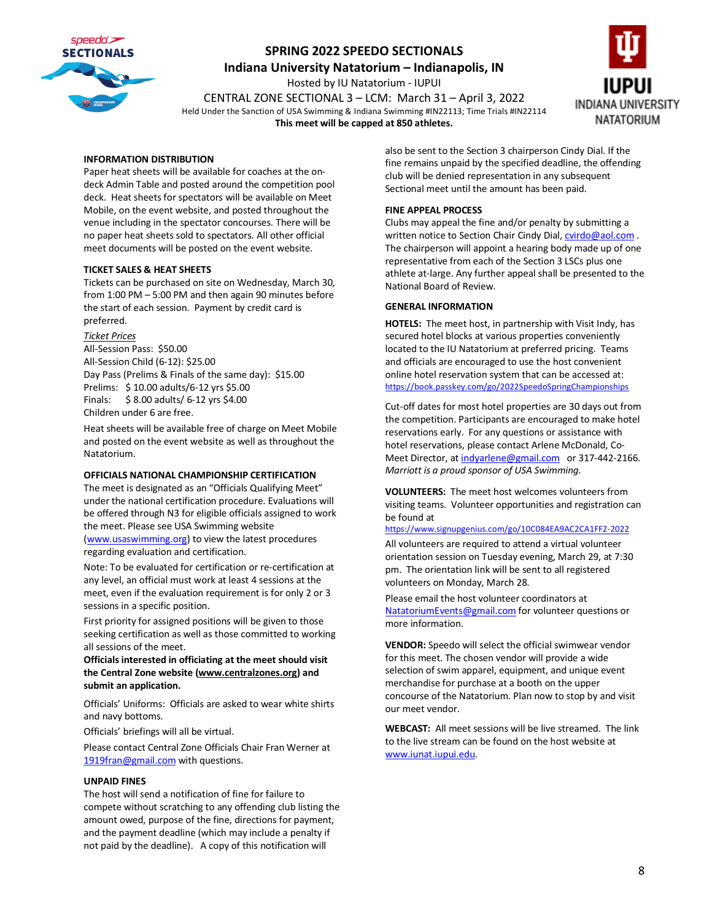

**Indiana University Natatorium – Indianapolis, IN**

Hosted by IU Natatorium - IUPUI

CENTRAL ZONE SECTIONAL 3 – LCM: March 31 – April 3, 2022 Held Under the Sanction of USA Swimming & Indiana Swimming #IN22113; Time Trials #IN22114 **This meet will be capped at 850 athletes.**



#### **INFORMATION DISTRIBUTION**

Paper heat sheets will be available for coaches at the ondeck Admin Table and posted around the competition pool deck. Heat sheets for spectators will be available on Meet Mobile, on the event website, and posted throughout the venue including in the spectator concourses. There will be no paper heat sheets sold to spectators. All other official meet documents will be posted on the event website.

#### **TICKET SALES & HEAT SHEETS**

Tickets can be purchased on site on Wednesday, March 30, from 1:00 PM – 5:00 PM and then again 90 minutes before the start of each session. Payment by credit card is preferred.

#### *Ticket Prices*

All-Session Pass: \$50.00 All-Session Child (6-12): \$25.00 Day Pass (Prelims & Finals of the same day): \$15.00 Prelims: \$ 10.00 adults/6-12 yrs \$5.00 Finals: \$ 8.00 adults/ 6-12 yrs \$4.00 Children under 6 are free.

Heat sheets will be available free of charge on Meet Mobile and posted on the event website as well as throughout the Natatorium.

#### **OFFICIALS NATIONAL CHAMPIONSHIP CERTIFICATION**

The meet is designated as an "Officials Qualifying Meet" under the national certification procedure. Evaluations will be offered through N3 for eligible officials assigned to work the meet. Please see USA Swimming website [\(www.usaswimming.org\)](http://www.usaswimming.org/) to view the latest procedures regarding evaluation and certification.

Note: To be evaluated for certification or re-certification at any level, an official must work at least 4 sessions at the meet, even if the evaluation requirement is for only 2 or 3 sessions in a specific position.

First priority for assigned positions will be given to those seeking certification as well as those committed to working all sessions of the meet.

**Officials interested in officiating at the meet should visit the Central Zone website [\(www.centralzones.org\)](http://www.centralzones.org/) and submit an application.**

Officials' Uniforms: Officials are asked to wear white shirts and navy bottoms.

Officials' briefings will all be virtual.

Please contact Central Zone Officials Chair Fran Werner at [1919fran@gmail.com](mailto:1919fran@gmail.com) with questions.

#### **UNPAID FINES**

The host will send a notification of fine for failure to compete without scratching to any offending club listing the amount owed, purpose of the fine, directions for payment, and the payment deadline (which may include a penalty if not paid by the deadline). A copy of this notification will

also be sent to the Section 3 chairperson Cindy Dial. If the fine remains unpaid by the specified deadline, the offending club will be denied representation in any subsequent Sectional meet until the amount has been paid.

#### **FINE APPEAL PROCESS**

Clubs may appeal the fine and/or penalty by submitting a written notice to Section Chair Cindy Dial[, cvirdo@aol.com](mailto:cvirdo@aol.com). The chairperson will appoint a hearing body made up of one representative from each of the Section 3 LSCs plus one athlete at-large. Any further appeal shall be presented to the National Board of Review.

#### **GENERAL INFORMATION**

**HOTELS:** The meet host, in partnership with Visit Indy, has secured hotel blocks at various properties conveniently located to the IU Natatorium at preferred pricing. Teams and officials are encouraged to use the host convenient online hotel reservation system that can be accessed at: <https://book.passkey.com/go/2022SpeedoSpringChampionships>

Cut-off dates for most hotel properties are 30 days out from the competition. Participants are encouraged to make hotel reservations early. For any questions or assistance with hotel reservations, please contact Arlene McDonald, Co-Meet Director, a[t indyarlene@gmail.com](mailto:indyarlene@gmail.com) or 317-442-2166. *Marriott is a proud sponsor of USA Swimming.*

**VOLUNTEERS:** The meet host welcomes volunteers from visiting teams. Volunteer opportunities and registration can be found at

<https://www.signupgenius.com/go/10C084EA9AC2CA1FF2-2022>

All volunteers are required to attend a virtual volunteer orientation session on Tuesday evening, March 29, at 7:30 pm. The orientation link will be sent to all registered volunteers on Monday, March 28.

Please email the host volunteer coordinators at [NatatoriumEvents@gmail.com](mailto:NatatoriumEvents@gmail.com) for volunteer questions or more information.

**VENDOR:** Speedo will select the official swimwear vendor for this meet. The chosen vendor will provide a wide selection of swim apparel, equipment, and unique event merchandise for purchase at a booth on the upper concourse of the Natatorium. Plan now to stop by and visit our meet vendor.

**WEBCAST:** All meet sessions will be live streamed. The link to the live stream can be found on the host website at [www.iunat.iupui.edu.](http://www.iunat.iupui.edu/)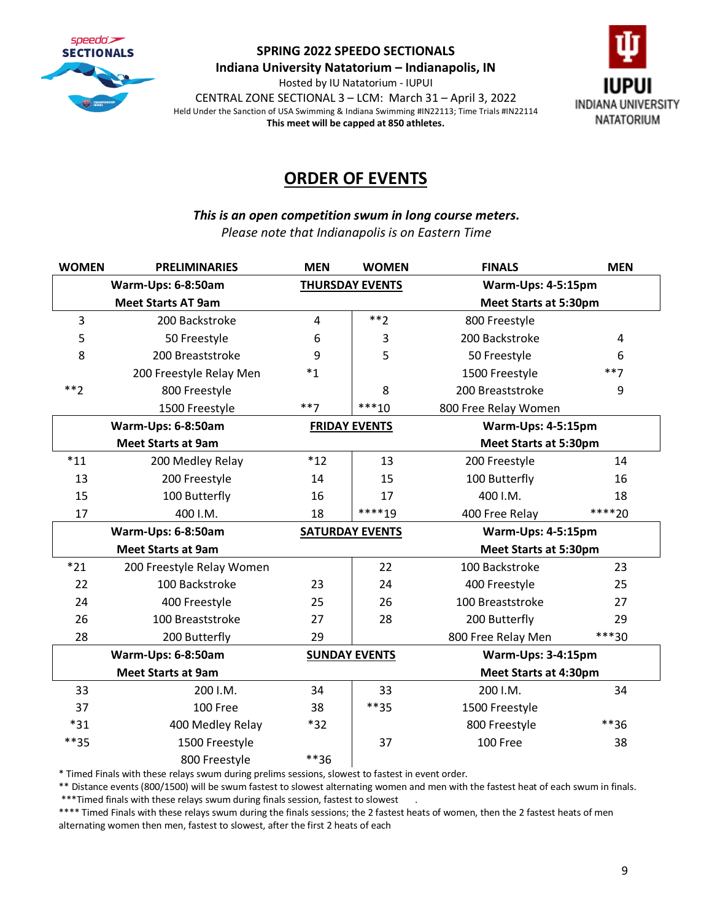

**Indiana University Natatorium – Indianapolis, IN**

Hosted by IU Natatorium - IUPUI CENTRAL ZONE SECTIONAL 3 – LCM: March 31 – April 3, 2022 Held Under the Sanction of USA Swimming & Indiana Swimming #IN22113; Time Trials #IN22114 **This meet will be capped at 850 athletes.**



# **ORDER OF EVENTS**

*This is an open competition swum in long course meters. Please note that Indianapolis is on Eastern Time* 

| <b>WOMEN</b>              | <b>PRELIMINARIES</b>                         | <b>MEN</b> | <b>WOMEN</b>                               | <b>FINALS</b>                | <b>MEN</b> |
|---------------------------|----------------------------------------------|------------|--------------------------------------------|------------------------------|------------|
|                           | Warm-Ups: 6-8:50am<br><b>THURSDAY EVENTS</b> |            |                                            | Warm-Ups: 4-5:15pm           |            |
|                           | <b>Meet Starts AT 9am</b>                    |            |                                            | <b>Meet Starts at 5:30pm</b> |            |
| 3                         | 200 Backstroke                               | 4          | $**2$                                      | 800 Freestyle                |            |
| 5                         | 50 Freestyle                                 | 6          | 3                                          | 200 Backstroke               | 4          |
| 8                         | 200 Breaststroke                             | 9          | 5                                          | 50 Freestyle                 | 6          |
|                           | 200 Freestyle Relay Men                      | $^*1$      |                                            | 1500 Freestyle               | $***7$     |
| $**2$                     | 800 Freestyle                                |            | 8                                          | 200 Breaststroke             | 9          |
|                           | 1500 Freestyle                               | $***7$     | $***10$                                    | 800 Free Relay Women         |            |
|                           | Warm-Ups: 6-8:50am<br><b>FRIDAY EVENTS</b>   |            | Warm-Ups: 4-5:15pm                         |                              |            |
|                           | <b>Meet Starts at 9am</b>                    |            |                                            | <b>Meet Starts at 5:30pm</b> |            |
| $*11$                     | 200 Medley Relay                             | $*12$      | 13                                         | 200 Freestyle                | 14         |
| 13                        | 200 Freestyle                                | 14         | 15                                         | 100 Butterfly                | 16         |
| 15                        | 100 Butterfly                                | 16         | 17                                         | 400 I.M.                     | 18         |
| 17                        | 400 I.M.                                     | 18         | ****19                                     | 400 Free Relay               | ****20     |
|                           | Warm-Ups: 6-8:50am                           |            | <b>SATURDAY EVENTS</b>                     | Warm-Ups: 4-5:15pm           |            |
|                           | <b>Meet Starts at 9am</b>                    |            | <b>Meet Starts at 5:30pm</b>               |                              |            |
| $*21$                     | 200 Freestyle Relay Women                    |            | 22                                         | 100 Backstroke               | 23         |
| 22                        | 100 Backstroke                               | 23         | 24                                         | 400 Freestyle                | 25         |
| 24                        | 400 Freestyle                                | 25         | 26                                         | 100 Breaststroke             | 27         |
| 26                        | 100 Breaststroke                             | 27         | 28                                         | 200 Butterfly                | 29         |
| 28                        | 200 Butterfly                                | 29         |                                            | 800 Free Relay Men           | ***30      |
| Warm-Ups: 6-8:50am        |                                              |            | Warm-Ups: 3-4:15pm<br><b>SUNDAY EVENTS</b> |                              |            |
| <b>Meet Starts at 9am</b> |                                              |            |                                            | <b>Meet Starts at 4:30pm</b> |            |
| 33                        | 200 I.M.                                     | 34         | 33                                         | 200 I.M.                     | 34         |
| 37                        | 100 Free                                     | 38         | $***35$                                    | 1500 Freestyle               |            |
| $*31$                     | 400 Medley Relay                             | $*32$      |                                            | 800 Freestyle                | **36       |
| $***35$                   | 1500 Freestyle                               |            | 37                                         | 100 Free                     | 38         |
|                           | 800 Freestyle                                | **36       |                                            |                              |            |

\* Timed Finals with these relays swum during prelims sessions, slowest to fastest in event order.

\*\* Distance events (800/1500) will be swum fastest to slowest alternating women and men with the fastest heat of each swum in finals. \*\*\*Timed finals with these relays swum during finals session, fastest to slowest .

\*\*\*\* Timed Finals with these relays swum during the finals sessions; the 2 fastest heats of women, then the 2 fastest heats of men alternating women then men, fastest to slowest, after the first 2 heats of each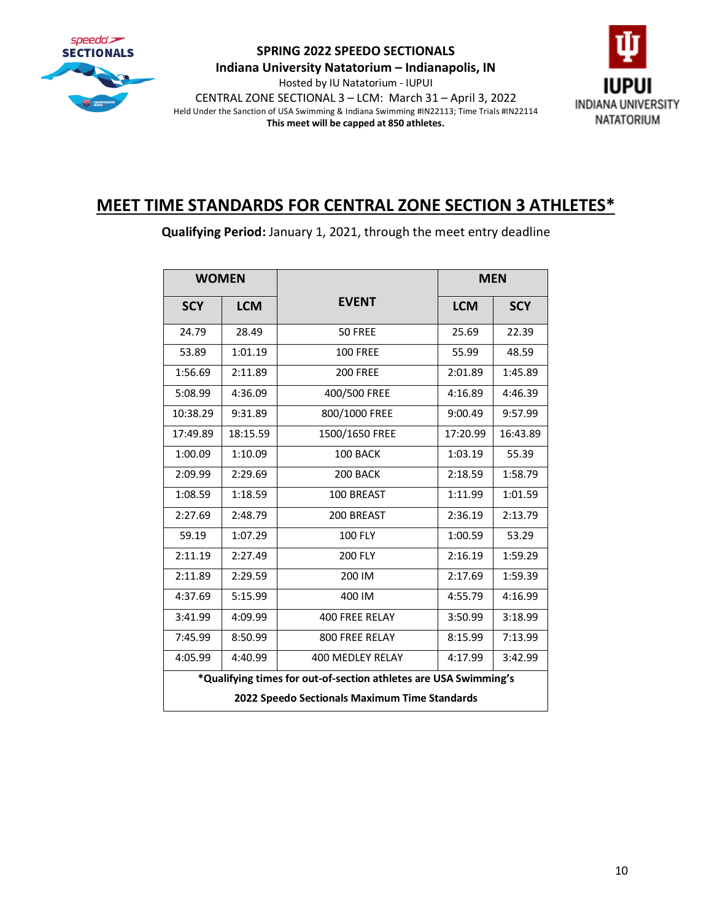

**Indiana University Natatorium – Indianapolis, IN**

Hosted by IU Natatorium - IUPUI CENTRAL ZONE SECTIONAL 3 – LCM: March 31 – April 3, 2022 Held Under the Sanction of USA Swimming & Indiana Swimming #IN22113; Time Trials #IN22114 **This meet will be capped at 850 athletes.**



# **MEET TIME STANDARDS FOR CENTRAL ZONE SECTION 3 ATHLETES\***

**Qualifying Period:** January 1, 2021, through the meet entry deadline

| <b>WOMEN</b>                                                                                                      |            |                       | <b>MEN</b> |            |
|-------------------------------------------------------------------------------------------------------------------|------------|-----------------------|------------|------------|
| <b>SCY</b>                                                                                                        | <b>LCM</b> | <b>EVENT</b>          | <b>LCM</b> | <b>SCY</b> |
| 24.79                                                                                                             | 28.49      | 50 FREE               | 25.69      | 22.39      |
| 53.89                                                                                                             | 1:01.19    | <b>100 FREE</b>       | 55.99      | 48.59      |
| 1:56.69                                                                                                           | 2:11.89    | <b>200 FREE</b>       | 2:01.89    | 1:45.89    |
| 5:08.99                                                                                                           | 4:36.09    | 400/500 FREE          | 4:16.89    | 4:46.39    |
| 10:38.29                                                                                                          | 9:31.89    | 800/1000 FREE         | 9:00.49    | 9:57.99    |
| 17:49.89                                                                                                          | 18:15.59   | 1500/1650 FREE        | 17:20.99   | 16:43.89   |
| 1:00.09                                                                                                           | 1:10.09    | 100 BACK              | 1:03.19    | 55.39      |
| 2:09.99                                                                                                           | 2:29.69    | 200 BACK              | 2:18.59    | 1:58.79    |
| 1:08.59                                                                                                           | 1:18.59    | 100 BREAST            | 1:11.99    | 1:01.59    |
| 2:27.69                                                                                                           | 2:48.79    | 200 BREAST            | 2:36.19    | 2:13.79    |
| 59.19                                                                                                             | 1:07.29    | <b>100 FLY</b>        | 1:00.59    | 53.29      |
| 2:11.19                                                                                                           | 2:27.49    | <b>200 FLY</b>        | 2:16.19    | 1:59.29    |
| 2:11.89                                                                                                           | 2:29.59    | 200 IM                | 2:17.69    | 1:59.39    |
| 4:37.69                                                                                                           | 5:15.99    | 400 IM                | 4:55.79    | 4:16.99    |
| 3:41.99                                                                                                           | 4:09.99    | <b>400 FREE RELAY</b> | 3:50.99    | 3:18.99    |
| 7:45.99                                                                                                           | 8:50.99    | 800 FREE RELAY        | 8:15.99    | 7:13.99    |
| 4:05.99                                                                                                           | 4:40.99    | 400 MEDLEY RELAY      | 4:17.99    | 3:42.99    |
| *Qualifying times for out-of-section athletes are USA Swimming's<br>2022 Speedo Sectionals Maximum Time Standards |            |                       |            |            |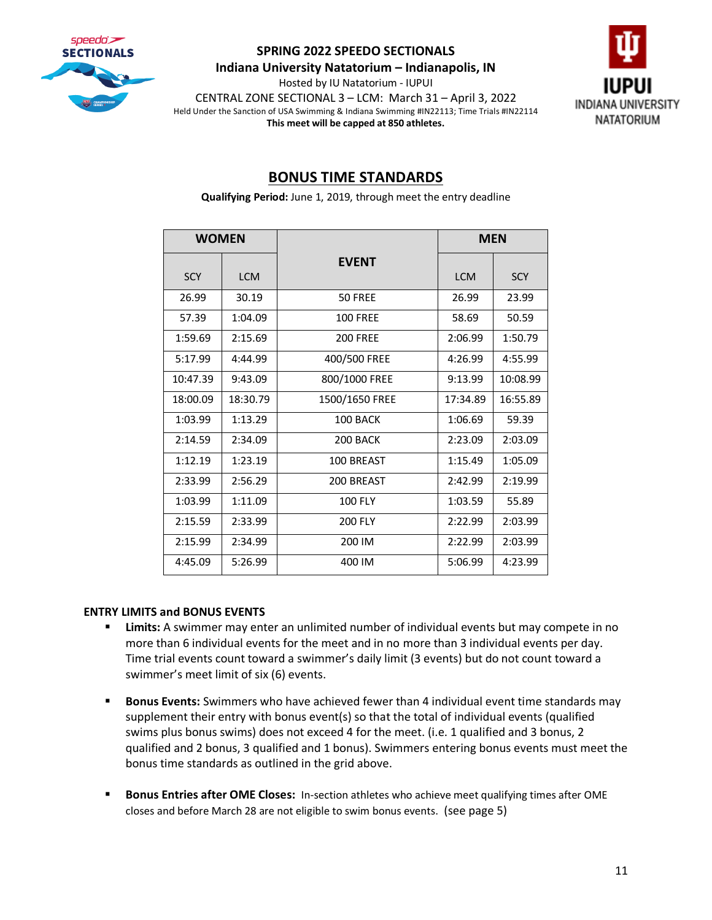

**Indiana University Natatorium – Indianapolis, IN**

Hosted by IU Natatorium - IUPUI CENTRAL ZONE SECTIONAL 3 – LCM: March 31 – April 3, 2022 Held Under the Sanction of USA Swimming & Indiana Swimming #IN22113; Time Trials #IN22114 **This meet will be capped at 850 athletes.**



# **BONUS TIME STANDARDS**

**Qualifying Period:** June 1, 2019, through meet the entry deadline

| <b>WOMEN</b> |            |                 | <b>MEN</b> |            |
|--------------|------------|-----------------|------------|------------|
| <b>SCY</b>   | <b>LCM</b> | <b>EVENT</b>    | <b>LCM</b> | <b>SCY</b> |
| 26.99        | 30.19      | 50 FREE         | 26.99      | 23.99      |
| 57.39        | 1:04.09    | <b>100 FREE</b> | 58.69      | 50.59      |
| 1:59.69      | 2:15.69    | <b>200 FREE</b> | 2:06.99    | 1:50.79    |
| 5:17.99      | 4:44.99    | 400/500 FREE    | 4:26.99    | 4:55.99    |
| 10:47.39     | 9:43.09    | 800/1000 FREE   | 9:13.99    | 10:08.99   |
| 18:00.09     | 18:30.79   | 1500/1650 FREE  | 17:34.89   | 16:55.89   |
| 1:03.99      | 1:13.29    | 100 BACK        | 1:06.69    | 59.39      |
| 2:14.59      | 2:34.09    | 200 BACK        | 2:23.09    | 2:03.09    |
| 1:12.19      | 1:23.19    | 100 BREAST      | 1:15.49    | 1:05.09    |
| 2:33.99      | 2:56.29    | 200 BREAST      | 2:42.99    | 2:19.99    |
| 1:03.99      | 1:11.09    | <b>100 FLY</b>  | 1:03.59    | 55.89      |
| 2:15.59      | 2:33.99    | <b>200 FLY</b>  | 2:22.99    | 2:03.99    |
| 2:15.99      | 2:34.99    | 200 IM          | 2:22.99    | 2:03.99    |
| 4:45.09      | 5:26.99    | 400 IM          | 5:06.99    | 4:23.99    |

#### **ENTRY LIMITS and BONUS EVENTS**

- **EXECT** Limits: A swimmer may enter an unlimited number of individual events but may compete in no more than 6 individual events for the meet and in no more than 3 individual events per day. Time trial events count toward a swimmer's daily limit (3 events) but do not count toward a swimmer's meet limit of six (6) events.
- **EXECT:** Bonus Events: Swimmers who have achieved fewer than 4 individual event time standards may supplement their entry with bonus event(s) so that the total of individual events (qualified swims plus bonus swims) does not exceed 4 for the meet. (i.e. 1 qualified and 3 bonus, 2 qualified and 2 bonus, 3 qualified and 1 bonus). Swimmers entering bonus events must meet the bonus time standards as outlined in the grid above.
- **EXECT BONUS Entries after OME Closes:** In-section athletes who achieve meet qualifying times after OME closes and before March 28 are not eligible to swim bonus events. (see page 5)